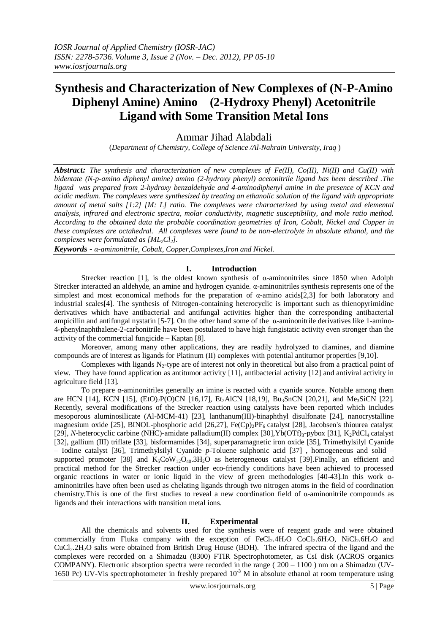# **Synthesis and Characterization of New Complexes of (N-P-Amino Diphenyl Amine) Amino (2-Hydroxy Phenyl) Acetonitrile Ligand with Some Transition Metal Ions**

Ammar Jihad Alabdali

(*Department of Chemistry, College of Science /Al-Nahrain University, Iraq* )

*Abstract: The synthesis and characterization of new complexes of Fe(II), Co(II), Ni(II) and Cu(II) with bidentate (N-p-amino diphenyl amine) amino (2-hydroxy phenyl) acetonitrile ligand has been described .The ligand was prepared from 2-hydroxy benzaldehyde and 4-aminodiphenyl amine in the presence of KCN and acidic medium. The complexes were synthesized by treating an ethanolic solution of the ligand with appropriate amount of metal salts [1:2] [M: L] ratio. The complexes were characterized by using metal and elemental analysis, infrared and electronic spectra, molar conductivity, magnetic susceptibility, and mole ratio method. According to the obtained data the probable coordination geometries of Iron, Cobalt, Nickel and Copper in these complexes are octahedral. All complexes were found to be non-electrolyte in absolute ethanol, and the complexes were formulated as [ML2Cl2].*

*Keywords* **-** *α-aminonitrile, Cobalt, Copper,Complexes,Iron and Nickel.*

# **I. Introduction**

Strecker reaction [1], is the oldest known synthesis of  $\alpha$ -aminonitriles since 1850 when Adolph Strecker interacted an aldehyde, an amine and hydrogen cyanide. α-aminonitriles synthesis represents one of the simplest and most economical methods for the preparation of  $\alpha$ -amino acids[2,3] for both laboratory and industrial scales[4]. The synthesis of Nitrogen-containing heterocyclic is important such as thienopyrimidine derivatives which have antibacterial and antifungal activities higher than the corresponding antibacterial ampicillin and antifungal nystatin [5-7]. On the other hand some of the  $\alpha$ -aminonitrile derivatives like 1-amino-4-phenylnaphthalene-2-carbonitrile have been postulated to have high fungistatic activity even stronger than the activity of the commercial fungicide – Kaptan [8].

Moreover, among many other applications, they are readily hydrolyzed to diamines, and diamine compounds are of interest as ligands for Platinum (ІІ) complexes with potential antitumor properties [9,10].

Complexes with ligands  $N_2$ -type are of interest not only in theoretical but also from a practical point of view. They have found application as antitumor activity [11], antibacterial activity [12] and antiviral activity in agriculture field [13].

To prepare α-aminonitriles generally an imine is reacted with a cyanide source. Notable among them are HCN [14], KCN [15],  $(EtO)_2P(O)CN$  [16,17],  $Et_2AlCN$  [18,19],  $Bu_3SnCN$  [20,21], and Me<sub>3</sub>SiCN [22]. Recently, several modifications of the Strecker reaction using catalysts have been reported which includes mesoporous aluminosilicate (Al-MCM-41) [23], lanthanum(III)-binaphthyl disulfonate [24], nanocrystalline magnesium oxide [25], BINOL-phosphoric acid [26,27], Fe(Cp)<sub>2</sub>PF<sub>6</sub> catalyst [28], Jacobsen's thiourea catalyst [29], *N*-heterocyclic carbine (NHC)-amidate palladium(II) complex [30], Yb(OTf)<sub>3</sub>-pybox [31], K<sub>2</sub>PdCl<sub>4</sub> catalyst [32], gallium (III) triflate [33], bisformamides [34], superparamagnetic iron oxide [35], Trimethylsilyl Cyanide – Iodine catalyst [36], Trimethylsilyl Cyanide–*p*-Toluene sulphonic acid [37] , homogeneous and solid – supported promoter [38] and  $K_5CoW_{12}O_{40}$ .  $3H_2O$  as heterogeneous catalyst [39]. Finally, an efficient and practical method for the Strecker reaction under eco-friendly conditions have been achieved to processed organic reactions in water or ionic liquid in the view of green methodologies [40-43].In this work αaminonitriles have often been used as chelating ligands through two nitrogen atoms in the field of coordination chemistry.This is one of the first studies to reveal a new coordination field of α-aminonitrile compounds as ligands and their interactions with transition metal ions.

# **II. Experimental**

 All the chemicals and solvents used for the synthesis were of reagent grade and were obtained commercially from Fluka company with the exception of FeCl<sub>2</sub>.4H<sub>2</sub>O CoCl<sub>2</sub>.6H<sub>2</sub>O, NiCl<sub>2</sub>.6H<sub>2</sub>O and CuCl<sub>2</sub>.2H<sub>2</sub>O salts were obtained from British Drug House (BDH). The infrared spectra of the ligand and the complexes were recorded on a Shimadzu (8300) FTIR Spectrophotometer, as CsI disk (ACROS organics COMPANY). Electronic absorption spectra were recorded in the range ( 200 – 1100 ) nm on a Shimadzu (UV-1650 Pc) UV-Vis spectrophotometer in freshly prepared  $10^{-3}$  M in absolute ethanol at room temperature using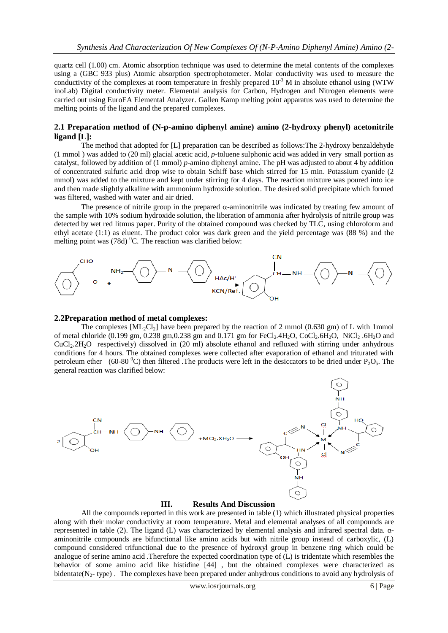quartz cell (1.00) cm. Atomic absorption technique was used to determine the metal contents of the complexes using a (GBC 933 plus) Atomic absorption spectrophotometer. Molar conductivity was used to measure the conductivity of the complexes at room temperature in freshly prepared  $10^{-3}$  M in absolute ethanol using (WTW inoLab) Digital conductivity meter. Elemental analysis for Carbon, Hydrogen and Nitrogen elements were carried out using EuroEA Elemental Analyzer. Gallen Kamp melting point apparatus was used to determine the melting points of the ligand and the prepared complexes.

# **2.1 Preparation method of (N-p-amino diphenyl amine) amino (2-hydroxy phenyl) acetonitrile ligand [L]:**

 The method that adopted for [L] preparation can be described as follows:The 2-hydroxy benzaldehyde (1 mmol ) was added to (20 ml) glacial acetic acid, *p*-toluene sulphonic acid was added in very small portion as catalyst, followed by addition of (1 mmol) *p*-amino diphenyl amine. The pH was adjusted to about 4 by addition of concentrated sulfuric acid drop wise to obtain Schiff base which stirred for 15 min. Potassium cyanide (2 mmol) was added to the mixture and kept under stirring for 4 days. The reaction mixture was poured into ice and then made slightly alkaline with ammonium hydroxide solution. The desired solid precipitate which formed was filtered, washed with water and air dried.

The presence of nitrile group in the prepared  $\alpha$ -aminonitrile was indicated by treating few amount of the sample with 10% sodium hydroxide solution, the liberation of ammonia after hydrolysis of nitrile group was detected by wet red litmus paper. Purity of the obtained compound was checked by TLC, using chloroform and ethyl acetate (1:1) as eluent. The product color was dark green and the yield percentage was (88 %) and the melting point was  $(78d)$ <sup>0</sup>C. The reaction was clarified below:



### **2.2Preparation method of metal complexes:**

The complexes  $\text{[ML-CL]}$  have been prepared by the reaction of 2 mmol (0.630 gm) of L with 1mmol of metal chloride (0.199 gm, 0.238 gm, 0.238 gm and 0.171 gm for FeCl<sub>2</sub>.4H<sub>2</sub>O, CoCl<sub>2</sub>.6H<sub>2</sub>O, NiCl<sub>2</sub>.6H<sub>2</sub>O and CuCl2.2H2O respectively) dissolved in (20 ml) absolute ethanol and refluxed with stirring under anhydrous conditions for 4 hours. The obtained complexes were collected after evaporation of ethanol and triturated with petroleum ether (60-80  $^{\circ}$ C) then filtered .The products were left in the desiccators to be dried under P<sub>2</sub>O<sub>5</sub>. The general reaction was clarified below:



### **III. Results And Discussion**

 All the compounds reported in this work are presented in table (1) which illustrated physical properties along with their molar conductivity at room temperature. Metal and elemental analyses of all compounds are represented in table (2). The ligand (L) was characterized by elemental analysis and infrared spectral data. αaminonitrile compounds are bifunctional like amino acids but with nitrile group instead of carboxylic, (L) compound considered trifunctional due to the presence of hydroxyl group in benzene ring which could be analogue of serine amino acid .Therefore the expected coordination type of (L) is tridentate which resembles the behavior of some amino acid like histidine [44] , but the obtained complexes were characterized as bidentate( $N<sub>2</sub>$ - type). The complexes have been prepared under anhydrous conditions to avoid any hydrolysis of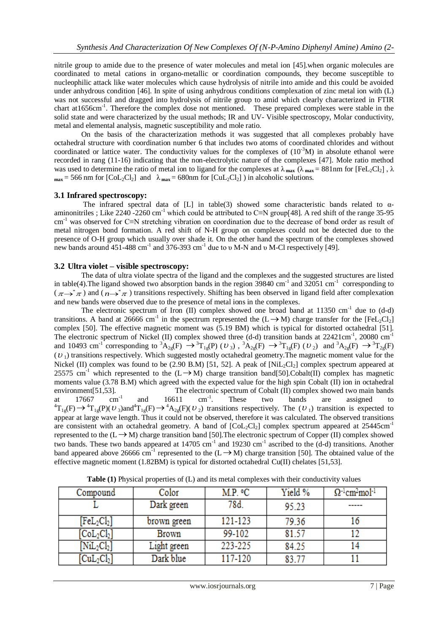nitrile group to amide due to the presence of water molecules and metal ion [45].when organic molecules are coordinated to metal cations in organo-metallic or coordination compounds, they become susceptible to nucleophilic attack like water molecules which cause hydrolysis of nitrile into amide and this could be avoided under anhydrous condition [46]. In spite of using anhydrous conditions complexation of zinc metal ion with (L) was not successful and dragged into hydrolysis of nitrile group to amid which clearly characterized in FTIR chart at1656cm<sup>-1</sup>. Therefore the complex dose not mentioned. These prepared complexes were stable in the solid state and were characterized by the usual methods; IR and UV- Visible spectroscopy, Molar conductivity, metal and elemental analysis, magnetic susceptibility and mole ratio.

On the basis of the characterization methods it was suggested that all complexes probably have octahedral structure with coordination number 6 that includes two atoms of coordinated chlorides and without coordinated or lattice water. The conductivity values for the complexes of  $(10^{-3}M)$  in absolute ethanol were recorded in rang (11-16) indicating that the non-electrolytic nature of the complexes [47]. Mole ratio method was used to determine the ratio of metal ion to ligand for the complexes at  $\lambda_{\text{max}}$  ( $\lambda_{\text{max}} = 881$ nm for [FeL<sub>2</sub>Cl<sub>2</sub>],  $\lambda$  $m_{\text{max}}$  = 566 nm for  $\text{[Col}_2\text{Cl}_2\text{]}$  and  $\lambda_{\text{max}}$  = 680nm for  $\text{[CuL}_2\text{Cl}_2\text{]}$  in alcoholic solutions.

# **3.1 Infrared spectroscopy:**

The infrared spectral data of [L] in table(3) showed some characteristic bands related to  $\alpha$ aminonitriles : Like 2240 -2260 cm<sup>-1</sup> which could be attributed to C≡N group[48]. A red shift of the range 35-95 cm-1 was observed for C≡N stretching vibration on coordination due to the decrease of bond order as result of metal nitrogen bond formation. A red shift of N-H group on complexes could not be detected due to the presence of O-H group which usually over shade it. On the other hand the spectrum of the complexes showed new bands around  $451-488$  cm<sup>-1</sup> and  $376-393$  cm<sup>-1</sup> due to v M-N and v M-Cl respectively [49].

### **3.2 Ultra violet – visible spectroscopy:**

 The data of ultra violate spectra of the ligand and the complexes and the suggested structures are listed in table(4). The ligand showed two absorption bands in the region  $39840 \text{ cm}^{-1}$  and  $32051 \text{ cm}^{-1}$  corresponding to  $(\pi \rightarrow^* \pi)$  and  $(n \rightarrow^* \pi)$  transitions respectively. Shifting has been observed in ligand field after complexation and new bands were observed due to the presence of metal ions in the complexes.

The electronic spectrum of Iron (II) complex showed one broad band at 11350 cm<sup>-1</sup> due to  $(d-d)$ transitions. A band at 26666 cm<sup>-1</sup> in the spectrum represented the  $(L \rightarrow M)$  charge transfer for the [FeL<sub>2</sub>Cl<sub>2</sub>] complex [50]. The effective magnetic moment was (5.19 BM) which is typical for distorted octahedral [51]. The electronic spectrum of Nickel (II) complex showed three (d-d) transition bands at 22421cm<sup>-1</sup>, 20080 cm<sup>-1</sup> and 10493 cm<sup>-1</sup> corresponding to  ${}^{3}A_{2g}(F) \rightarrow {}^{3}T_{1g}(P)$  (*U*<sub>3</sub>),  ${}^{3}A_{2g}(F) \rightarrow {}^{3}T_{1g}(F)$  (*U*<sub>2</sub>) and  ${}^{3}A_{2g}(F) \rightarrow {}^{3}T_{2g}(F)$  $(U<sub>1</sub>)$  transitions respectively. Which suggested mostly octahedral geometry. The magnetic moment value for the Nickel (II) complex was found to be  $(2.90 \text{ B.M})$  [51, 52]. A peak of [NiL<sub>2</sub>Cl<sub>2</sub>] complex spectrum appeared at 25575 cm<sup>-1</sup> which represented to the  $(L \rightarrow M)$  charge transition band[50].Cobalt(II) complex has magnetic moments value (3.78 B.M) which agreed with the expected value for the high spin Cobalt (II) ion in octahedral environment[51,53]. The electronic spectrum of Cobalt (II) complex showed two main bands<br>at 17667 cm<sup>-1</sup> and 16611 cm<sup>-1</sup>. These two bands are assigned to at 17667  $cm^{-1}$  and 16611  $cm^{-1}$ . . These two bands are assigned to  ${}^{4}T_{1g}(F) \rightarrow {}^{4}T_{1g}(P)(U_3)$  and  ${}^{4}T_{1g}(F) \rightarrow {}^{4}A_{2g}(F)(U_2)$  transitions respectively. The  $(U_1)$  transition is expected to appear at large wave length. Thus it could not be observed, therefore it was calculated. The observed transitions are consistent with an octahedral geometry. A band of  $[Col_2Cl_2]$  complex spectrum appeared at 25445cm<sup>-1</sup> represented to the  $(L \rightarrow M)$  charge transition band [50]. The electronic spectrum of Copper (II) complex showed two bands. These two bands appeared at  $14705 \text{ cm}^{-1}$  and  $19230 \text{ cm}^{-1}$  ascribed to the (d-d) transitions. Another band appeared above 26666 cm<sup>-1</sup> represented to the  $(L \rightarrow M)$  charge transition [50]. The obtained value of the effective magnetic moment  $(1.82BM)$  is typical for distorted octahedral Cu(II) chelates [51,53].

| Compound                            | Color       | M.P. ºC | Yield % | $\Omega^{-1}$ cm <sup>2</sup> mol <sup>-1</sup> |  |
|-------------------------------------|-------------|---------|---------|-------------------------------------------------|--|
|                                     | Dark green  | 78d.    | 95.23   | ------                                          |  |
| $[{\rm FeL}_2{\rm Cl}_2]$           | brown green | 121-123 | 79.36   |                                                 |  |
| $[\mathrm{CoL}_{2}\mathrm{Cl}_{2}]$ | Brown       | 99-102  | 81.57   |                                                 |  |
| $[\mathrm{NiL}_{2}\mathrm{Cl}_{2}]$ | Light green | 223-225 | 84.25   |                                                 |  |
| $\text{CuL}_2\text{Cl}$             | Dark blue   | 117-120 | 83.77   |                                                 |  |

**Table (1)** Physical properties of (L) and its metal complexes with their conductivity values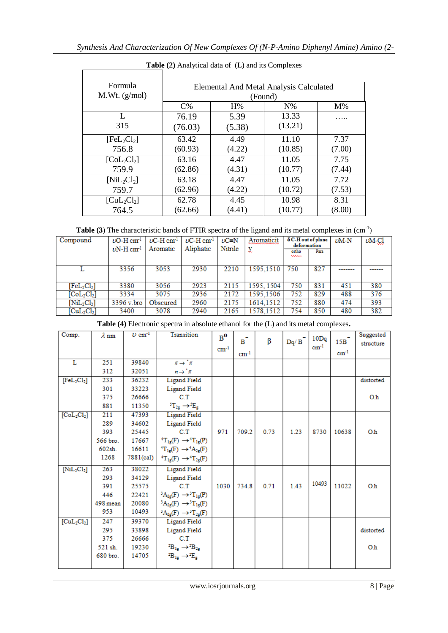| Formula                                 | Elemental And Metal Analysis Calculated |        |         |        |  |  |  |  |
|-----------------------------------------|-----------------------------------------|--------|---------|--------|--|--|--|--|
| M.Wt. (g/mol)                           | (Found)                                 |        |         |        |  |  |  |  |
|                                         | $C\%$                                   | H%     | $N\%$   | $M\%$  |  |  |  |  |
| L                                       | 76.19                                   | 5.39   | 13.33   |        |  |  |  |  |
| 315                                     | (76.03)                                 | (5.38) | (13.21) |        |  |  |  |  |
| [FeL <sub>2</sub> Cl <sub>2</sub> ]     | 63.42                                   | 4.49   | 11.10   | 7.37   |  |  |  |  |
| 756.8                                   | (60.93)                                 | (4.22) | (10.85) | (7.00) |  |  |  |  |
| $\lbrack\text{Col}_2\text{Cl}_2\rbrack$ | 63.16                                   | 4.47   | 11.05   | 7.75   |  |  |  |  |
| 759.9                                   | (62.86)                                 | (4.31) | (10.77) | (7.44) |  |  |  |  |
| $[NiL_2Cl_2]$                           | 63.18                                   | 4.47   | 11.05   | 7.72   |  |  |  |  |
| 759.7                                   | (62.96)                                 | (4.22) | (10.72) | (7.53) |  |  |  |  |
| [CuL <sub>2</sub> Cl <sub>2</sub> ]     | 62.78                                   | 4.45   | 10.98   | 8.31   |  |  |  |  |
| 764.5                                   | (62.66)                                 | (4.41) | (10.77) | (8.00) |  |  |  |  |

**Table (2)** Analytical data of (L) and its Complexes

| <b>Table (3)</b> The characteristic bands of FTIR spectra of the ligand and its metal complexes in $(\text{cm}^{-1})$ |  |  |
|-----------------------------------------------------------------------------------------------------------------------|--|--|
|                                                                                                                       |  |  |
|                                                                                                                       |  |  |

| Compound                            | $\nu$ O-H cm <sup>1</sup>   | $\nu$ C-H cm <sup>1</sup> | $\nu$ C-H cm <sup>1</sup> | $\nu$ C=N | Aromaticit | $\delta$ C-H out of plane<br>deformation |      | $\nu$ M-N | $\nu$ M-Cl |
|-------------------------------------|-----------------------------|---------------------------|---------------------------|-----------|------------|------------------------------------------|------|-----------|------------|
|                                     | $\nu N-H \, \text{cm}^{-1}$ | Aromatic                  | Aliphatic                 | Nitrile   |            | ortho<br>www                             | Para |           |            |
|                                     | 3356                        | 3053                      | 2930                      | 2210      | 1595,1510  | 750                                      | 827  |           |            |
| $[{\rm FeL}_2{\rm Cl}_2]$           | 3380                        | 3056                      | 2923                      | 2115      | 1595, 1504 | 750                                      | 831  | 451       | 380        |
| [CoL <sub>2</sub> Cl <sub>2</sub> ] | 3334                        | 3075                      | 2936                      | 2172      | 1595.1506  | 752                                      | 829  | 488       | 376        |
| $[NiL_2Cl_2]$                       | 3396 v.bro                  | Obscured                  | 2960                      | 2175      | 1614.1512  | 752                                      | 880  | 474       | 393        |
| [CuL <sub>2</sub> Cl <sub>2</sub> ] | 3400                        | 3078                      | 2940                      | 2165      | 1578,1512  | 754                                      | 850  | 480       | 382        |

**Table (4)** Electronic spectra in absolute ethanol for the (L) and its metal complexes**.**

| Comp.                               | $\lambda$ nm | $\nu$ cm <sup>-1</sup> | Transition                                | $B^0$  | β<br>$\mathbf{B}$ |      | $\mathbf{D}\mathbf{q}/\,\mathbf{B}^-$ | 10Dq      | 15B       | Suggested<br>structure |
|-------------------------------------|--------------|------------------------|-------------------------------------------|--------|-------------------|------|---------------------------------------|-----------|-----------|------------------------|
|                                     |              |                        |                                           | $cm-1$ | $cm-1$            |      |                                       | $cm^{-1}$ | $cm^{-1}$ |                        |
| L                                   | 251          | 39840                  | $\pi \rightarrow \pi$                     |        |                   |      |                                       |           |           |                        |
|                                     | 312          | 32051                  | $n \rightarrow \infty$                    |        |                   |      |                                       |           |           |                        |
| [FeL <sub>2</sub> Cl <sub>2</sub> ] | 233          | 36232                  | <b>Ligand Field</b>                       |        |                   |      |                                       |           |           | distorted              |
|                                     | 301          | 33223                  | <b>Ligand Field</b>                       |        |                   |      |                                       |           |           |                        |
|                                     | 375          | 26666                  | C.T                                       |        |                   |      |                                       |           |           | O <sub>h</sub>         |
|                                     | 881          | 11350                  | ${}^{5}T_{2g} \rightarrow {}^{5}E_{g}$    |        |                   |      |                                       |           |           |                        |
| [CoL <sub>2</sub> Cl <sub>2</sub> ] | 211          | 47393                  | <b>Ligand Field</b>                       |        |                   |      |                                       |           |           |                        |
|                                     | 289          | 34602                  | <b>Ligand Field</b>                       |        |                   |      |                                       |           |           |                        |
|                                     | 393          | 25445                  | C.T                                       | 971    | 709.2             | 0.73 | 1.23                                  | 8730      | 10638     | O <sub>h</sub>         |
|                                     | 566 bro.     | 17667                  | ${}^4T_{1g}(F) \rightarrow {}^4T_{1g}(P)$ |        |                   |      |                                       |           |           |                        |
|                                     | 602sh.       | 16611                  | ${}^4T_{1g}(F) \rightarrow {}^4A_{2g}(F)$ |        |                   |      |                                       |           |           |                        |
|                                     | 1268         | 7881(cal)              | ${}^4T_{1g}(F) \rightarrow {}^4T_{2g}(F)$ |        |                   |      |                                       |           |           |                        |
| $[NiL_2Cl_2]$                       | 263          | 38022                  | Ligand Field                              |        |                   |      |                                       |           |           |                        |
|                                     | 293          | 34129                  | Ligand Field                              |        |                   |      |                                       |           |           |                        |
|                                     | 391          | 25575                  | C.T                                       | 1030   | 734.8             | 0.71 | 1.43                                  | 10493     | 11022     | O <sub>h</sub>         |
|                                     | 446          | 22421                  | ${}^3A_{2g}(F) \rightarrow {}^3T_{1g}(P)$ |        |                   |      |                                       |           |           |                        |
|                                     | 498 mean     | 20080                  | ${}^3A_{2g}(F) \rightarrow {}^3T_{1g}(F)$ |        |                   |      |                                       |           |           |                        |
|                                     | 953          | 10493                  | ${}^3A_{2g}(F) \rightarrow {}^3T_{2g}(F)$ |        |                   |      |                                       |           |           |                        |
| [CuL <sub>2</sub> Cl <sub>2</sub> ] | 247          | 39370                  | <b>Ligand Field</b>                       |        |                   |      |                                       |           |           |                        |
|                                     | 295          | 33898                  | <b>Ligand Field</b>                       |        |                   |      |                                       |           |           | distorted              |
|                                     | 375          | 26666                  | C.T                                       |        |                   |      |                                       |           |           |                        |
|                                     | 521 sh.      | 19230                  | ${}^{2}B_{1g} \rightarrow {}^{2}B_{2g}$   |        |                   |      |                                       |           |           | O <sub>h</sub>         |
|                                     | 680 bro.     | 14705                  | ${}^{2}B_{1g} \rightarrow {}^{2}E_{g}$    |        |                   |      |                                       |           |           |                        |
|                                     |              |                        |                                           |        |                   |      |                                       |           |           |                        |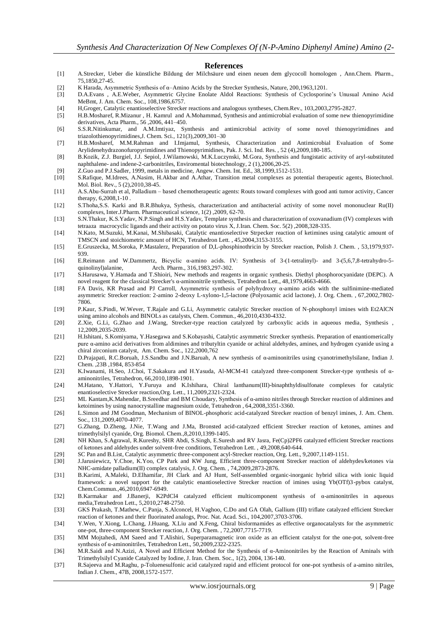#### **References**

- [1] A.Strecker, Ueber die künstliche Bildung der Milchsäure und einen neuen dem glycocoll homologen , Ann.Chem. Pharm., 75,1850,27-45.
- [2] K Harada, Asymmetric Synthesis of α–Amino Acids by the Strecker Synthesis, Nature, 200,1963,1201.
- [3] D.A.Evans , A.E.Weber, Asymmetric Glycine Enolate Aldol Reactions: Synthesis of Cyclosporine's Unusual Amino Acid MeBmt, J. Am. Chem. Soc., 108,1986,6757.
- [4] H,Groger, Catalytic enantioselective Strecker reactions and analogous syntheses, Chem.Rev., 103,2003,2795-2827.
- [5] H.B.Mosharef, R.Mizanur , H. Kamrul and A.Mohammad, Synthesis and antimicrobial evaluation of some new thienopyrimidine derivatives, Acta Pharm., 56 ,2006, 441–450.
- [6] S.S.R.Nitinkumar, and A.M.Imtiyaz, Synthesis and antimicrobial activity of some novel thienopyrimidines and triazolothienopyrimidines,J. Chem. Sci., 121(3),2009,301–30
- [7] H.B.Mosharef, M.M.Rahman and I.Imjamul, Synthesis, Characterization and Antimicrobial Evaluation of Some Arylidenehydrazonofuropyrimidines and Thienopyrimidines, Pak. J. Sci. Ind. Res. , 52 (4),2009,180-185.
- [8] B.Kozik, Z.J. Burgiel, J.J. Sepiol, J.Wilamowski, M.K.Luczynski, M.Gora, Synthesis and fungistatic activity of aryl-substituted naphthalene- and indene-2-carbonitriles, Enviromental biotechnology, 2 (1),2006,20-25.
- [9] Z.Guo and P.J.Sadler, 1999, metals in medicine, Angew. Chem. Int. Ed., 38,1999,1512-1531.
- [10] S.Rafique, M.Idrees, A.Nasim, H.Akbar and A.Athar, Transition metal complexes as potential therapeutic agents, Biotechnol. Mol. Biol. Rev., 5 (2),2010,38-45.
- [11] A.S.Abu-Surrah et al, Palladium based chemotherapeutic agents: Routs toward complexes with good anti tumor activity, Cancer therapy, 6,2008, 1-10
- [12] S.Thoha,S.S. Karki and B.R.Bhukya, Sythesis, characterization and antibacterial activity of some novel mononuclear Ru(II) complexes, Inter.J.Pharm. Pharmaceutical science, 1(2) ,2009, 62-70.
- [13] S.N.Thakur, K.S.Yadav, N.P.Singh and H.S.Yadav, Template synthesis and characterization of oxovanadium (IV) complexes with tetraaza macrocyclic ligands and their activity on potato virus X, J.Iran. Chem. Soc. 5(2) ,2008,328-335.
- [14] N.Kato, M.Suzuki, M.Kanai, M.Shibasaki, Catalytic enantioselective Strpecker reaction of ketimines using catalytic amount of TMSCN and stoichiometric amount of HCN, Tetrahedron Lett. , 45,2004,3153-3155.
- [15] E.Gruszecka, M.Soroka, P.Mastalerz, Preparation of D,L-phosphinothricin by Strecker reaction, Polish J. Chem. , 53,1979,937- 939.
- [16] E.Reimann and W.Dammertz, Bicyclic α-amino acids. IV: Synthesis of 3-(1-tetralinyl)- and 3-(5,6,7,8-tetrahydro-5 quinolinyl)alanine, Arch. Pharm., 316,1983,297-302.
- [17] S.Harusawa, Y.Hamada and T.Shioiri, New methods and reagents in organic synthesis. Diethyl phosphorocyanidate (DEPC). A novel reagent for the classical Strecker's α-aminonitrile synthesis, Tetrahedron Lett., 48,1979,4663-4666.
- [18] FA Davis, KR Prasad and PJ Carroll, Asymmetric synthesis of polyhydroxy α-amino acids with the sulfinimine-mediated asymmetric Strecker reaction: 2-amino 2-deoxy L-xylono-1,5-lactone (Polyoxamic acid lactone), J. Org. Chem. , 67,2002,7802- 7806.
- [19] P.Kaur, S.Pindi, W.Wever, T.Rajale and G.Li, Asymmetric catalytic Strecker reaction of N-phosphonyl imines with Et2AlCN using amino alcohols and BINOLs as catalysts, Chem. Commun., 46,2010,4330-4332.
- [20] Z.Xie, G.Li, G.Zhao and J.Wang, Strecker-type reaction catalyzed by carboxylic acids in aqueous media, Synthesis , 12,2009,2035-2039.
- [21] H.Ishitani, S.Komiyama, Y.Hasegawa and S.Kobayashi, Catalytic asymmetric Strecker synthesis. Preparation of enantiomerically pure α-amino acid derivatives from aldimines and tributyltin cyanide or achiral aldehydes, amines, and hydrogen cyanide using a chiral zirconium catalyst, Am. Chem. Soc., 122,2000,762
- [22] D.Prajapati, R.C.Boruah, J.S.Sandbu and J.N.Baruah, A new synthesis of α-aminonitriles using cyanotrimethylsilane, Indian J. Chem. ,23B ,1984, 853-854
- [23] K.Iwanami, H.Seo, J.Choi, T.Sakakura and H.Yasuda, Al-MCM-41 catalyzed three-component Strecker-type synthesis of αaminonitriles, Tetrahedron, 66,2010,1898-1901.
- [24] M.Hatano, Y.Hattori, Y.Furuya and K.Ishihara, Chiral lanthanum(III)-binaphthyldisulfonate complexes for catalytic enantioselective Strecker reaction,Org. Lett., 11,2009,2321-2324.
- [25] ML Kantam,K.Mahendar, B.Sreedhar and BM Choudary, Synthesis of α-amino nitriles through Strecker reaction of aldimines and ketoimines by using nanocrystalline magnesium oxide, Tetrahedron , 64,2008,3351-3360.
- [26] L.Simon and JM Goodman, Mechanism of BINOL-phosphoric acid-catalyzed Strecker reaction of benzyl imines, J. Am. Chem. Soc., 131,2009,4070-4077.
- [27] G.Zhang, D.Zheng, J.Nie, T.Wang and J.Ma, Bronsted acid-catalyzed efficient Strecker reaction of ketones, amines and trimethylsilyl cyanide, Org. Biomol. Chem.,8,2010,1399-1405.
- [28] NH Khan, S.Agrawal, R.Kureshy, SHR Abdi, S.Singh, E.Suresh and RV Jasra, Fe(Cp)2PF6 catalyzed efficient Strecker reactions of ketones and aldehydes under solvent-free conditions, Tetrahedron Lett. , 49,2008,640-644.
- [29] SC Pan and B.List, Catalytic asymmetric three-component acyl-Strecker reaction, Org. Lett., 9,2007,1149-1151.
- [30] J.Jarusiewicz, Y.Choe, K.Yoo, CP Park and KW Jung, Efficient three-component Strecker reaction of aldehydes/ketones via NHC-amidate palladium(II) complex catalysis, J. Org. Chem. , 74,2009,2873-2876.
- [31] B.Karimi, A.Maleki, D.Elhamifar, JH Clark and AJ Hunt, Self-assembled organic-inorganic hybrid silica with ionic liquid framework: a novel support for the catalytic enantioselective Strecker reaction of imines using Yb(OTf)3-pybox catalyst, Chem.Commun.,46,2010,6947-6949.
- [32] B.Karmakar and J.Banerji, K2PdCl4 catalyzed efficient multicomponent synthesis of α-aminonitriles in aqueous media,Tetrahedron Lett., 5,2010,2748-2750.
- [33] GKS Prakash, T.Mathew, C.Panja, S.Alconcel, H.Vaghoo, C.Do and GA Olah, Gallium (III) triflate catalyzed efficient Strecker reaction of ketones and their fluorinated analogs, Proc. Nat. Acad. Sci., 104,2007,3703-3706.
- [34] Y.Wen, Y.Xiong, L.Chang, J.Huang, X.Liu and X.Feng, Chiral bisformamides as effective organocatalysts for the asymmetric one-pot, three-component Strecker reaction, J. Org. Chem. , 72,2007,7715-7719.
- [35] MM Mojtahedi, AM Saeed and T.Alishiri, Superparamagnetic iron oxide as an efficient catalyst for the one-pot, solvent-free synthesis of α-aminonitriles, Tetrahedron Lett., 50,2009,2322-2325.
- [36] M.R.Saidi and N.Azizi, A Novel and Efficient Method for the Synthesis of α-Aminonitriles by the Reaction of Aminals with Trimethylsilyl Cyanide Catalyzed by Iodine, J. Iran. Chem. Soc., 1(2), 2004, 136-140.
- [37] R.Sajeeva and M.Raghu, p-Toluenesulfonic acid catalyzed rapid and efficient protocol for one-pot synthesis of a-amino nitriles, Indian J. Chem., 47B, 2008,1572-1577.